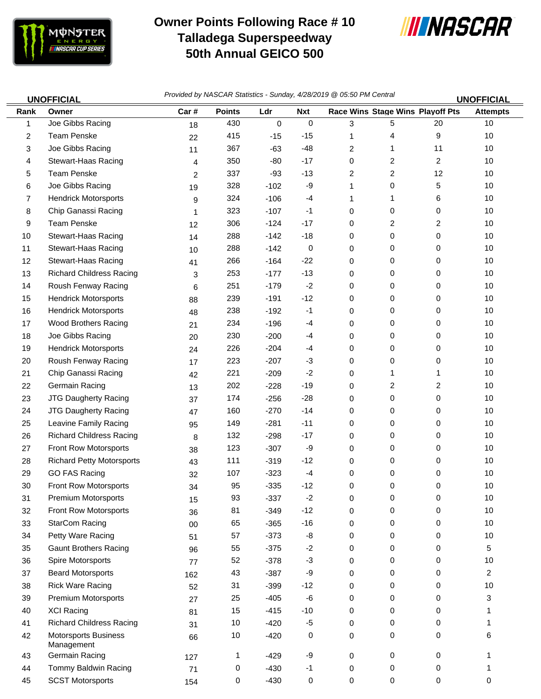

## **Owner Points Following Race # 10 Talladega Superspeedway 50th Annual GEICO 500**



|              | <b>UNOFFICIAL</b>                         | Provided by NASCAR Statistics - Sunday, 4/28/2019 @ 05:50 PM Central<br><b>UNOFFICIAL</b> |               |             |             |   |                         |                                  |                 |
|--------------|-------------------------------------------|-------------------------------------------------------------------------------------------|---------------|-------------|-------------|---|-------------------------|----------------------------------|-----------------|
| Rank         | Owner                                     | Car#                                                                                      | <b>Points</b> | Ldr         | <b>Nxt</b>  |   |                         | Race Wins Stage Wins Playoff Pts | <b>Attempts</b> |
| 1            | Joe Gibbs Racing                          | 18                                                                                        | 430           | $\mathbf 0$ | $\mathbf 0$ | 3 | 5                       | 20                               | 10              |
| $\mathbf{2}$ | <b>Team Penske</b>                        | 22                                                                                        | 415           | $-15$       | $-15$       | 1 | 4                       | 9                                | 10              |
| 3            | Joe Gibbs Racing                          | 11                                                                                        | 367           | $-63$       | $-48$       | 2 | 1                       | 11                               | 10              |
| 4            | Stewart-Haas Racing                       | 4                                                                                         | 350           | -80         | $-17$       | 0 | 2                       | $\overline{c}$                   | 10              |
| 5            | Team Penske                               | 2                                                                                         | 337           | $-93$       | $-13$       | 2 | 2                       | 12                               | 10              |
| 6            | Joe Gibbs Racing                          | 19                                                                                        | 328           | $-102$      | -9          | 1 | 0                       | 5                                | $10$            |
| 7            | <b>Hendrick Motorsports</b>               | 9                                                                                         | 324           | $-106$      | $-4$        | 1 | 1                       | 6                                | 10              |
| 8            | Chip Ganassi Racing                       | 1                                                                                         | 323           | $-107$      | -1          | 0 | 0                       | 0                                | $10$            |
| 9            | <b>Team Penske</b>                        | 12                                                                                        | 306           | $-124$      | $-17$       | 0 | $\overline{\mathbf{c}}$ | $\overline{\mathbf{c}}$          | 10              |
| 10           | Stewart-Haas Racing                       | 14                                                                                        | 288           | $-142$      | $-18$       | 0 | 0                       | 0                                | 10              |
| 11           | Stewart-Haas Racing                       | 10                                                                                        | 288           | $-142$      | 0           | 0 | 0                       | 0                                | 10              |
| 12           | Stewart-Haas Racing                       | 41                                                                                        | 266           | $-164$      | $-22$       | 0 | 0                       | 0                                | 10              |
| 13           | <b>Richard Childress Racing</b>           | 3                                                                                         | 253           | $-177$      | $-13$       | 0 | 0                       | 0                                | 10              |
| 14           | Roush Fenway Racing                       | 6                                                                                         | 251           | $-179$      | $-2$        | 0 | 0                       | 0                                | 10              |
| 15           | <b>Hendrick Motorsports</b>               | 88                                                                                        | 239           | $-191$      | $-12$       | 0 | 0                       | 0                                | 10              |
| 16           | <b>Hendrick Motorsports</b>               | 48                                                                                        | 238           | $-192$      | $-1$        | 0 | 0                       | 0                                | 10              |
| 17           | Wood Brothers Racing                      | 21                                                                                        | 234           | $-196$      | -4          | 0 | 0                       | 0                                | $10$            |
| 18           | Joe Gibbs Racing                          | 20                                                                                        | 230           | $-200$      | $-4$        | 0 | 0                       | 0                                | 10              |
| 19           | <b>Hendrick Motorsports</b>               | 24                                                                                        | 226           | $-204$      | -4          | 0 | 0                       | 0                                | 10              |
| 20           | Roush Fenway Racing                       | 17                                                                                        | 223           | $-207$      | $-3$        | 0 | 0                       | 0                                | 10              |
| 21           | Chip Ganassi Racing                       | 42                                                                                        | 221           | $-209$      | $-2$        | 0 | 1                       | 1                                | 10              |
| 22           | Germain Racing                            | 13                                                                                        | 202           | $-228$      | $-19$       | 0 | 2                       | 2                                | $10$            |
| 23           | <b>JTG Daugherty Racing</b>               | 37                                                                                        | 174           | $-256$      | $-28$       | 0 | 0                       | 0                                | 10              |
| 24           | <b>JTG Daugherty Racing</b>               | 47                                                                                        | 160           | $-270$      | $-14$       | 0 | 0                       | 0                                | 10              |
| 25           | Leavine Family Racing                     | 95                                                                                        | 149           | $-281$      | $-11$       | 0 | 0                       | 0                                | 10              |
| 26           | <b>Richard Childress Racing</b>           | 8                                                                                         | 132           | $-298$      | $-17$       | 0 | 0                       | 0                                | 10              |
| 27           | Front Row Motorsports                     | 38                                                                                        | 123           | $-307$      | -9          | 0 | 0                       | 0                                | 10              |
| 28           | <b>Richard Petty Motorsports</b>          | 43                                                                                        | 111           | $-319$      | $-12$       | 0 | 0                       | 0                                | 10              |
| 29           | <b>GO FAS Racing</b>                      | 32                                                                                        | 107           | $-323$      | $-4$        | 0 | $\mathbf 0$             | 0                                | $10$            |
| 30           | <b>Front Row Motorsports</b>              | 34                                                                                        | 95            | $-335$      | $-12$       | 0 | 0                       | 0                                | 10              |
| 31           | <b>Premium Motorsports</b>                | 15                                                                                        | 93            | $-337$      | $-2$        | 0 | $\mathbf 0$             | 0                                | 10              |
| 32           | Front Row Motorsports                     | 36                                                                                        | 81            | $-349$      | $-12$       | 0 | 0                       | 0                                | $10$            |
| 33           | <b>StarCom Racing</b>                     | $00\,$                                                                                    | 65            | $-365$      | $-16$       | 0 | 0                       | 0                                | $10$            |
| 34           | Petty Ware Racing                         | 51                                                                                        | 57            | $-373$      | -8          | 0 | 0                       | 0                                | 10              |
| 35           | <b>Gaunt Brothers Racing</b>              | 96                                                                                        | 55            | $-375$      | $-2$        | 0 | 0                       | 0                                | 5               |
| 36           | Spire Motorsports                         | 77                                                                                        | 52            | $-378$      | $-3$        | 0 | 0                       | 0                                | $10$            |
| 37           | <b>Beard Motorsports</b>                  | 162                                                                                       | 43            | $-387$      | -9          | 0 | 0                       | 0                                | $\overline{a}$  |
| 38           | <b>Rick Ware Racing</b>                   | 52                                                                                        | 31            | $-399$      | $-12$       | 0 | 0                       | 0                                | 10              |
| 39           | <b>Premium Motorsports</b>                | 27                                                                                        | 25            | $-405$      | -6          | 0 | 0                       | 0                                | 3               |
| 40           | <b>XCI Racing</b>                         | 81                                                                                        | 15            | $-415$      | $-10$       | 0 | 0                       | 0                                | 1               |
| 41           | <b>Richard Childress Racing</b>           | 31                                                                                        | 10            | $-420$      | $-5$        | 0 | 0                       | 0                                | 1               |
| 42           | <b>Motorsports Business</b><br>Management | 66                                                                                        | 10            | $-420$      | 0           | 0 | 0                       | 0                                | 6               |
| 43           | Germain Racing                            | 127                                                                                       | 1             | $-429$      | -9          | 0 | 0                       | 0                                | 1               |
| 44           | Tommy Baldwin Racing                      | 71                                                                                        | 0             | $-430$      | $-1$        | 0 | 0                       | 0                                | 1               |
| 45           | <b>SCST Motorsports</b>                   | 154                                                                                       | 0             | $-430$      | 0           | 0 | 0                       | 0                                | 0               |